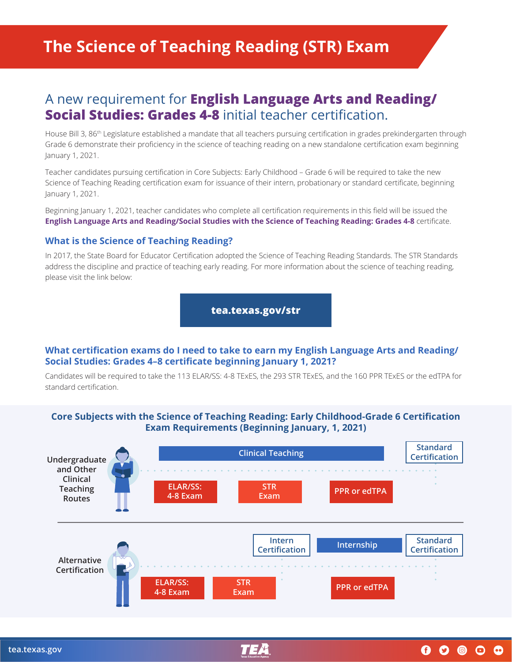# A new requirement for **English Language Arts and Reading/ Social Studies: Grades 4-8** initial teacher certification.

House Bill 3, 86<sup>th</sup> Legislature established a mandate that all teachers pursuing certification in grades prekindergarten through Grade 6 demonstrate their proficiency in the science of teaching reading on a new standalone certification exam beginning January 1, 2021.

Teacher candidates pursuing certification in Core Subjects: Early Childhood – Grade 6 will be required to take the new Science of Teaching Reading certification exam for issuance of their intern, probationary or standard certificate, beginning January 1, 2021.

Beginning January 1, 2021, teacher candidates who complete all certification requirements in this field will be issued the **English Language Arts and Reading/Social Studies with the Science of Teaching Reading: Grades 4-8** certificate.

### **What is the Science of Teaching Reading?**

In 2017, the State Board for Educator Certification adopted the Science of Teaching Reading Standards. The STR Standards address the discipline and practice of teaching early reading. For more information about the science of teaching reading, please visit the link below:

**[tea.texas.gov/str](http://tea.texas.gov/str)**

#### **What certification exams do I need to take to earn my English Language Arts and Reading/ Social Studies: Grades 4–8 certificate beginning January 1, 2021?**

Candidates will be required to take the 113 ELAR/SS: 4-8 TExES, the 293 STR TExES, and the 160 PPR TExES or the edTPA for standard certification.

### **Core Subjects with the Science of Teaching Reading: Early Childhood-Grade 6 Certification Exam Requirements (Beginning January, 1, 2021)**